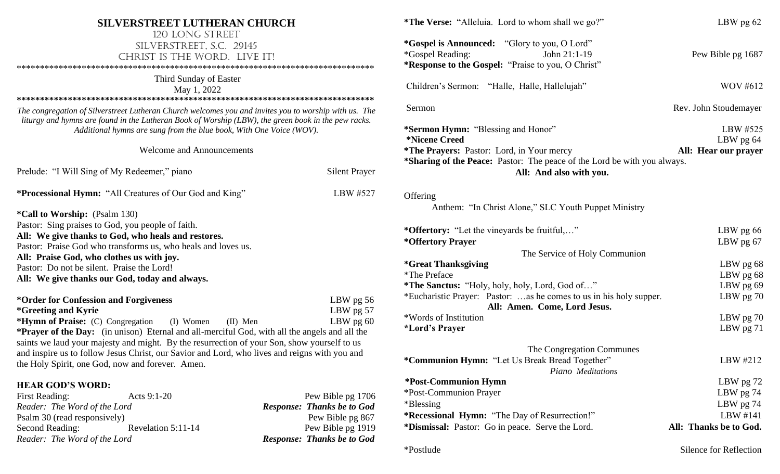| SILVERSTREET LUTHERAN CHURCH                                                                                                                                                                                                                                                        |                                   | *The Verse: "Alleluia. Lord to whom shall we go?"                                                                                                    | LBW pg 62              |
|-------------------------------------------------------------------------------------------------------------------------------------------------------------------------------------------------------------------------------------------------------------------------------------|-----------------------------------|------------------------------------------------------------------------------------------------------------------------------------------------------|------------------------|
| 120 LONG STREET<br>SILVERSTREET, S.C. 29145<br>CHRIST IS THE WORD. LIVE IT!                                                                                                                                                                                                         |                                   | <i>*Gospel is Announced:</i> "Glory to you, O Lord"<br><i>*Gospel Reading:</i><br>John 21:1-19<br>*Response to the Gospel: "Praise to you, O Christ" | Pew Bible pg 1687      |
| Third Sunday of Easter<br>May 1, 2022                                                                                                                                                                                                                                               |                                   | Children's Sermon: "Halle, Halle, Hallelujah"                                                                                                        | WOV #612               |
| The congregation of Silverstreet Lutheran Church welcomes you and invites you to worship with us. The<br>liturgy and hymns are found in the Lutheran Book of Worship (LBW), the green book in the pew racks.<br>Additional hymns are sung from the blue book, With One Voice (WOV). |                                   | Sermon                                                                                                                                               | Rev. John Stoudemayer  |
|                                                                                                                                                                                                                                                                                     |                                   | *Sermon Hymn: "Blessing and Honor"<br><i>*Nicene Creed</i>                                                                                           | LBW #525<br>LBW pg 64  |
| <b>Welcome and Announcements</b>                                                                                                                                                                                                                                                    |                                   | <i>*The Prayers: Pastor: Lord, in Your mercy</i><br>*Sharing of the Peace: Pastor: The peace of the Lord be with you always.                         | All: Hear our prayer   |
| Prelude: "I Will Sing of My Redeemer," piano                                                                                                                                                                                                                                        | <b>Silent Prayer</b>              | All: And also with you.                                                                                                                              |                        |
| *Processional Hymn: "All Creatures of Our God and King"                                                                                                                                                                                                                             | LBW #527                          | Offering                                                                                                                                             |                        |
| <i>*Call to Worship: (Psalm 130)</i>                                                                                                                                                                                                                                                |                                   | Anthem: "In Christ Alone," SLC Youth Puppet Ministry                                                                                                 |                        |
| Pastor: Sing praises to God, you people of faith.                                                                                                                                                                                                                                   |                                   | *Offertory: "Let the vineyards be fruitful,"                                                                                                         | LBW pg 66              |
| All: We give thanks to God, who heals and restores.                                                                                                                                                                                                                                 |                                   | *Offertory Prayer                                                                                                                                    | LBW pg $67$            |
| Pastor: Praise God who transforms us, who heals and loves us.                                                                                                                                                                                                                       |                                   | The Service of Holy Communion                                                                                                                        |                        |
| All: Praise God, who clothes us with joy.<br>Pastor: Do not be silent. Praise the Lord!                                                                                                                                                                                             |                                   | <i><b>*Great Thanksgiving</b></i>                                                                                                                    | LBW pg 68              |
| All: We give thanks our God, today and always.                                                                                                                                                                                                                                      |                                   | *The Preface                                                                                                                                         | LBW pg 68              |
|                                                                                                                                                                                                                                                                                     |                                   | *The Sanctus: "Holy, holy, holy, Lord, God of"                                                                                                       | LBW $pg 69$            |
| *Order for Confession and Forgiveness<br><i>*Greeting and Kyrie</i>                                                                                                                                                                                                                 | LBW pg $56$<br>LBW $pg\ 57$       | *Eucharistic Prayer: Pastor: as he comes to us in his holy supper.<br>All: Amen. Come, Lord Jesus.                                                   | LBW $pg 70$            |
| *Hymn of Praise: (C) Congregation<br>(I) Women<br>$(II)$ Men                                                                                                                                                                                                                        | LBW $pg 60$                       | *Words of Institution                                                                                                                                | LBW pg 70              |
| <b>*Prayer of the Day:</b> (in unison) Eternal and all-merciful God, with all the angels and all the<br>saints we laud your majesty and might. By the resurrection of your Son, show yourself to us                                                                                 |                                   | <i><b>*Lord's Prayer</b></i>                                                                                                                         | LBW $pg 71$            |
| and inspire us to follow Jesus Christ, our Savior and Lord, who lives and reigns with you and                                                                                                                                                                                       |                                   | The Congregation Communes                                                                                                                            |                        |
| the Holy Spirit, one God, now and forever. Amen.                                                                                                                                                                                                                                    |                                   | *Communion Hymn: "Let Us Break Bread Together"<br>Piano Meditations                                                                                  | LBW #212               |
| <b>HEAR GOD'S WORD:</b>                                                                                                                                                                                                                                                             |                                   | *Post-Communion Hymn                                                                                                                                 | LBW pg 72              |
| <b>First Reading:</b><br>Acts 9:1-20                                                                                                                                                                                                                                                | Pew Bible pg 1706                 | *Post-Communion Prayer                                                                                                                               | LBW pg 74              |
| Reader: The Word of the Lord                                                                                                                                                                                                                                                        | <b>Response: Thanks be to God</b> | *Blessing                                                                                                                                            | LBW pg 74              |
| Psalm 30 (read responsively)                                                                                                                                                                                                                                                        | Pew Bible pg 867                  | *Recessional Hymn: "The Day of Resurrection!"                                                                                                        | LBW #141               |
| Revelation 5:11-14<br>Second Reading:                                                                                                                                                                                                                                               | Pew Bible pg 1919                 | *Dismissal: Pastor: Go in peace. Serve the Lord.                                                                                                     | All: Thanks be to God. |
| Reader: The Word of the Lord                                                                                                                                                                                                                                                        | <b>Response: Thanks be to God</b> |                                                                                                                                                      |                        |

\*Postlude Silence for Reflection